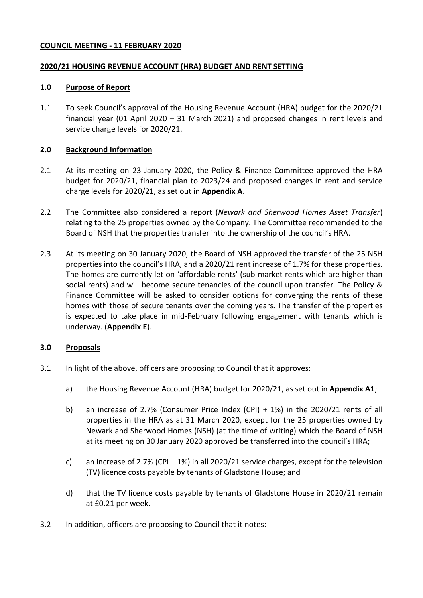### <span id="page-0-1"></span>**COUNCIL MEETING - 11 FEBRUARY 2020**

#### <span id="page-0-0"></span>**2020/21 HOUSING REVENUE ACCOUNT (HRA) BUDGET AND RENT SETTING**

#### **1.0 Purpose of Report**

1.1 To seek Council's approval of the Housing Revenue Account (HRA) budget for the [2020/21](#page-0-0) financial year (01 April [2020](#page-0-1) – 31 March 2021) and proposed changes in rent levels and service charge levels for [2020/21.](#page-0-0)

#### **2.0 Background Information**

- 2.1 At its meeting on 23 January [2020,](#page-0-1) the Policy & Finance Committee approved the HRA budget for [2020/21,](#page-0-0) financial plan to 2023/24 and proposed changes in rent and service charge levels for [2020/21,](#page-0-0) as set out in **Appendix A**.
- 2.2 The Committee also considered a report (*Newark and Sherwood Homes Asset Transfer*) relating to the 25 properties owned by the Company. The Committee recommended to the Board of NSH that the properties transfer into the ownership of the council's HRA.
- 2.3 At its meeting on 30 January 2020, the Board of NSH approved the transfer of the 25 NSH properties into the council's HRA, and a 2020/21 rent increase of 1.7% for these properties. The homes are currently let on 'affordable rents' (sub-market rents which are higher than social rents) and will become secure tenancies of the council upon transfer. The Policy & Finance Committee will be asked to consider options for converging the rents of these homes with those of secure tenants over the coming years. The transfer of the properties is expected to take place in mid-February following engagement with tenants which is underway. (**Appendix E**).

### **3.0 Proposals**

- <span id="page-0-2"></span>3.1 In light of the above, officers are proposing to Council that it approves:
	- a) the Housing Revenue Account (HRA) budget for [2020/21,](#page-0-0) as set out in **Appendix A1**;
	- b) an increase of 2.7% (Consumer Price Index (CPI) + 1%) in the [2020/21](#page-0-0) rents of all properties in the HRA as at 31 March [2020,](#page-0-1) except for the 25 properties owned by Newark and Sherwood Homes (NSH) (at the time of writing) which the Board of NSH at its meeting on 30 January 2020 approved be transferred into the council's HRA;
	- c) an increase of [2.7%](#page-0-2) (CPI + 1%) in all [2020/21](#page-0-0) service charges, except for the television (TV) licence costs payable by tenants of Gladstone House; and
	- d) that the TV licence costs payable by tenants of Gladstone House in [2020/21](#page-0-0) remain at £0.21 per week.
- 3.2 In addition, officers are proposing to Council that it notes: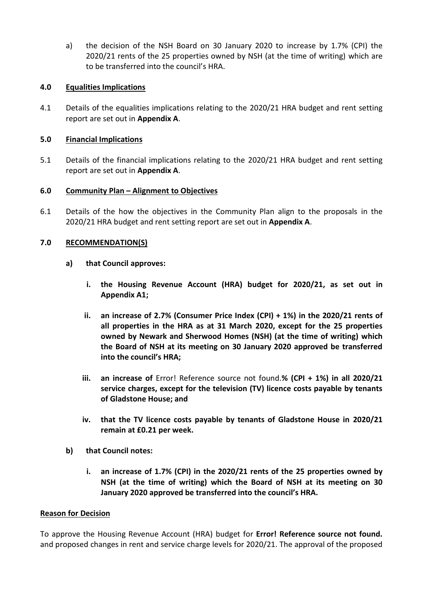a) the decision of the NSH Board on 30 January 2020 to increase by 1.7% (CPI) the [2020/21](#page-0-0) rents of the 25 properties owned by NSH (at the time of writing) which are to be transferred into the council's HRA.

# **4.0 Equalities Implications**

4.1 Details of the equalities implications relating to the [2020/21](#page-0-0) HRA budget and rent setting report are set out in **Appendix A**.

# **5.0 Financial Implications**

5.1 Details of the financial implications relating to the [2020/21](#page-0-0) HRA budget and rent setting report are set out in **Appendix A**.

# **6.0 Community Plan – Alignment to Objectives**

6.1 Details of the how the objectives in the Community Plan align to the proposals in the [2020/21](#page-0-0) HRA budget and rent setting report are set out in **Appendix A**.

# **7.0 RECOMMENDATION(S)**

- **a) that Council approves:**
	- **i. the Housing Revenue Account (HRA) budget for [2020/21,](#page-0-0) as set out in Appendix A1;**
	- **ii. an increase of [2.7%](#page-0-2) (Consumer Price Index (CPI) + 1%) in the [2020/21](#page-0-0) rents of all properties in the HRA as at 31 March [2020,](#page-0-1) except for the 25 properties owned by Newark and Sherwood Homes (NSH) (at the time of writing) which the Board of NSH at its meeting on 30 January 2020 approved be transferred into the council's HRA;**
	- **iii. an increase of** Error! Reference source not found.**% (CPI + 1%) in all [2020/21](#page-0-0) service charges, except for the television (TV) licence costs payable by tenants of Gladstone House; and**
	- **iv. that the TV licence costs payable by tenants of Gladstone House in [2020/21](#page-0-0) remain at £0.21 per week.**
- **b) that Council notes:**
	- **i. an increase of 1.7% (CPI) in the 2020/21 rents of the 25 properties owned by NSH (at the time of writing) which the Board of NSH at its meeting on 30 January 2020 approved be transferred into the council's HRA.**

### **Reason for Decision**

To approve the Housing Revenue Account (HRA) budget for **Error! Reference source not found.** and proposed changes in rent and service charge levels for 2020/21. The approval of the proposed